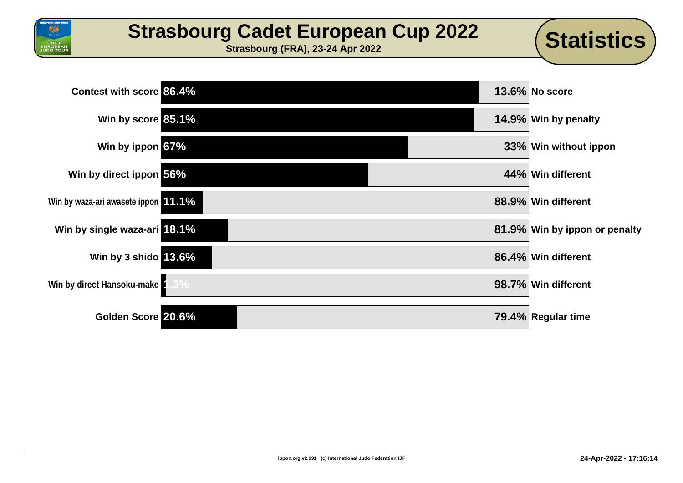

**UROPEAN**